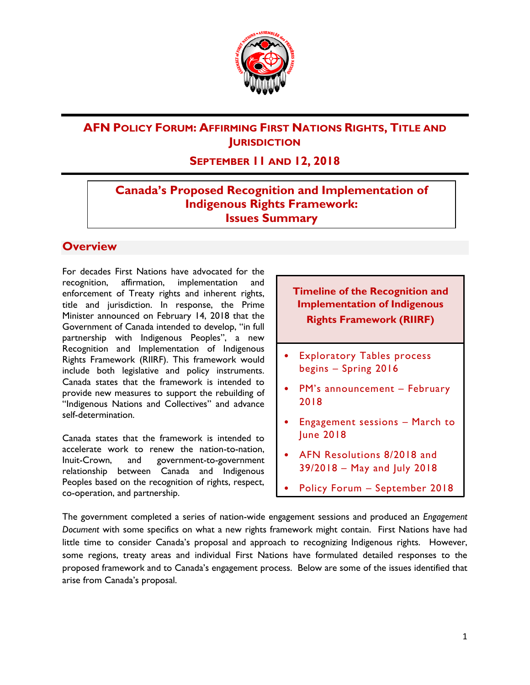

## **AFN POLICY FORUM: AFFIRMING FIRST NATIONS RIGHTS, TITLE AND JURISDICTION**

## **SEPTEMBER 11 AND 12, 2018**

## **Canada's Proposed Recognition and Implementation of Indigenous Rights Framework: Issues Summary**

#### **Overview**

For decades First Nations have advocated for the recognition, affirmation, implementation and enforcement of Treaty rights and inherent rights, title and jurisdiction. In response, the Prime Minister announced on February 14, 2018 that the Government of Canada intended to develop, "in full partnership with Indigenous Peoples", a new Recognition and Implementation of Indigenous Rights Framework (RIIRF). This framework would include both legislative and policy instruments. Canada states that the framework is intended to provide new measures to support the rebuilding of "Indigenous Nations and Collectives" and advance self-determination.

Canada states that the framework is intended to accelerate work to renew the nation-to-nation, Inuit-Crown, and government-to-government relationship between Canada and Indigenous Peoples based on the recognition of rights, respect, co-operation, and partnership.

### **Timeline of the Recognition and Implementation of Indigenous Rights Framework (RIIRF)**

- **Exploratory Tables process** begins – Spring 2016
- PM's announcement February 2018
- Engagement sessions March to June 2018
- AFN Resolutions 8/2018 and 39/2018 – May and July 2018
- Policy Forum September 2018

The government completed a series of nation-wide engagement sessions and produced an *Engagement Document* with some specifics on what a new rights framework might contain. First Nations have had little time to consider Canada's proposal and approach to recognizing Indigenous rights. However, some regions, treaty areas and individual First Nations have formulated detailed responses to the proposed framework and to Canada's engagement process. Below are some of the issues identified that arise from Canada's proposal.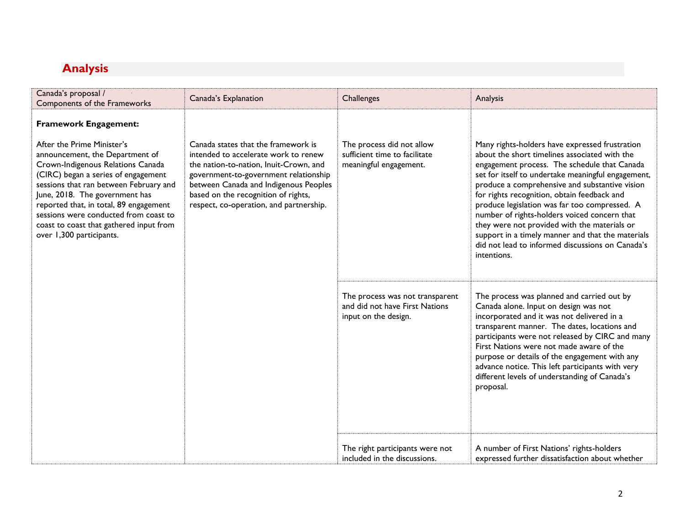# **Analysis**

| Canada's proposal /                                                                                                                                                                                                                                                                                                                                                                                                                                                                                                                                                                                                                                        | Canada's Explanation                                                                      | Challenges                                                                                                                                                                                                                                                                                                                                                                                                                                          | Analysis                                                                                                                                                                                                                                                                                                                                                                                                                                                                                                                                                                        |
|------------------------------------------------------------------------------------------------------------------------------------------------------------------------------------------------------------------------------------------------------------------------------------------------------------------------------------------------------------------------------------------------------------------------------------------------------------------------------------------------------------------------------------------------------------------------------------------------------------------------------------------------------------|-------------------------------------------------------------------------------------------|-----------------------------------------------------------------------------------------------------------------------------------------------------------------------------------------------------------------------------------------------------------------------------------------------------------------------------------------------------------------------------------------------------------------------------------------------------|---------------------------------------------------------------------------------------------------------------------------------------------------------------------------------------------------------------------------------------------------------------------------------------------------------------------------------------------------------------------------------------------------------------------------------------------------------------------------------------------------------------------------------------------------------------------------------|
| Components of the Frameworks<br><b>Framework Engagement:</b><br>After the Prime Minister's<br>Canada states that the framework is<br>intended to accelerate work to renew<br>announcement, the Department of<br>Crown-Indigenous Relations Canada<br>the nation-to-nation, Inuit-Crown, and<br>(CIRC) began a series of engagement<br>sessions that ran between February and<br>June, 2018. The government has<br>based on the recognition of rights,<br>reported that, in total, 89 engagement<br>respect, co-operation, and partnership.<br>sessions were conducted from coast to<br>coast to coast that gathered input from<br>over 1,300 participants. | government-to-government relationship<br>between Canada and Indigenous Peoples            | The process did not allow<br>sufficient time to facilitate<br>meaningful engagement.                                                                                                                                                                                                                                                                                                                                                                | Many rights-holders have expressed frustration<br>about the short timelines associated with the<br>engagement process. The schedule that Canada<br>set for itself to undertake meaningful engagement,<br>produce a comprehensive and substantive vision<br>for rights recognition, obtain feedback and<br>produce legislation was far too compressed. A<br>number of rights-holders voiced concern that<br>they were not provided with the materials or<br>support in a timely manner and that the materials<br>did not lead to informed discussions on Canada's<br>intentions. |
|                                                                                                                                                                                                                                                                                                                                                                                                                                                                                                                                                                                                                                                            | The process was not transparent<br>and did not have First Nations<br>input on the design. | The process was planned and carried out by<br>Canada alone. Input on design was not<br>incorporated and it was not delivered in a<br>transparent manner. The dates, locations and<br>participants were not released by CIRC and many<br>First Nations were not made aware of the<br>purpose or details of the engagement with any<br>advance notice. This left participants with very<br>different levels of understanding of Canada's<br>proposal. |                                                                                                                                                                                                                                                                                                                                                                                                                                                                                                                                                                                 |
|                                                                                                                                                                                                                                                                                                                                                                                                                                                                                                                                                                                                                                                            |                                                                                           | The right participants were not<br>included in the discussions.                                                                                                                                                                                                                                                                                                                                                                                     | A number of First Nations' rights-holders<br>expressed further dissatisfaction about whether                                                                                                                                                                                                                                                                                                                                                                                                                                                                                    |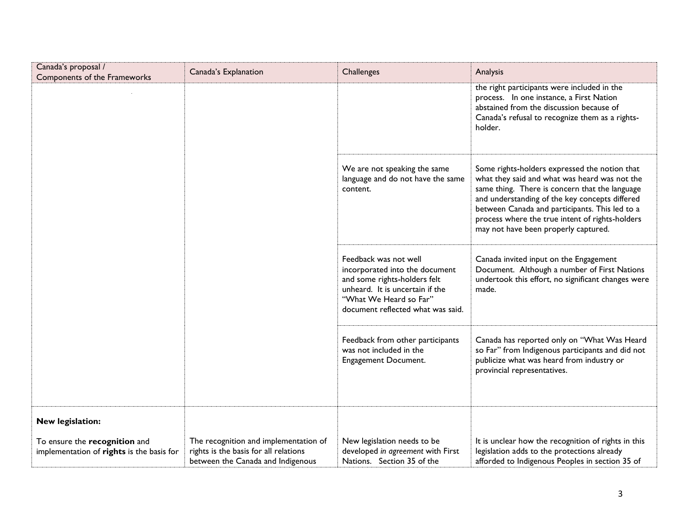| Canada's proposal /<br>Components of the Frameworks                        | Canada's Explanation                                                                                                | Challenges                                                                                                                                                                                | Analysis                                                                                                                                                                                                                                                                                                                                        |
|----------------------------------------------------------------------------|---------------------------------------------------------------------------------------------------------------------|-------------------------------------------------------------------------------------------------------------------------------------------------------------------------------------------|-------------------------------------------------------------------------------------------------------------------------------------------------------------------------------------------------------------------------------------------------------------------------------------------------------------------------------------------------|
|                                                                            |                                                                                                                     |                                                                                                                                                                                           | the right participants were included in the<br>process. In one instance, a First Nation<br>abstained from the discussion because of<br>Canada's refusal to recognize them as a rights-<br>holder.                                                                                                                                               |
|                                                                            |                                                                                                                     | We are not speaking the same<br>language and do not have the same<br>content.                                                                                                             | Some rights-holders expressed the notion that<br>what they said and what was heard was not the<br>same thing. There is concern that the language<br>and understanding of the key concepts differed<br>between Canada and participants. This led to a<br>process where the true intent of rights-holders<br>may not have been properly captured. |
|                                                                            |                                                                                                                     | Feedback was not well<br>incorporated into the document<br>and some rights-holders felt<br>unheard. It is uncertain if the<br>"What We Heard so Far"<br>document reflected what was said. | Canada invited input on the Engagement<br>Document. Although a number of First Nations<br>undertook this effort, no significant changes were<br>made.                                                                                                                                                                                           |
|                                                                            |                                                                                                                     | Feedback from other participants<br>was not included in the<br>Engagement Document.                                                                                                       | Canada has reported only on "What Was Heard<br>so Far" from Indigenous participants and did not<br>publicize what was heard from industry or<br>provincial representatives.                                                                                                                                                                     |
| New legislation:                                                           |                                                                                                                     |                                                                                                                                                                                           |                                                                                                                                                                                                                                                                                                                                                 |
| To ensure the recognition and<br>implementation of rights is the basis for | The recognition and implementation of<br>rights is the basis for all relations<br>between the Canada and Indigenous | New legislation needs to be<br>developed in agreement with First<br>Nations. Section 35 of the                                                                                            | It is unclear how the recognition of rights in this<br>legislation adds to the protections already<br>afforded to Indigenous Peoples in section 35 of                                                                                                                                                                                           |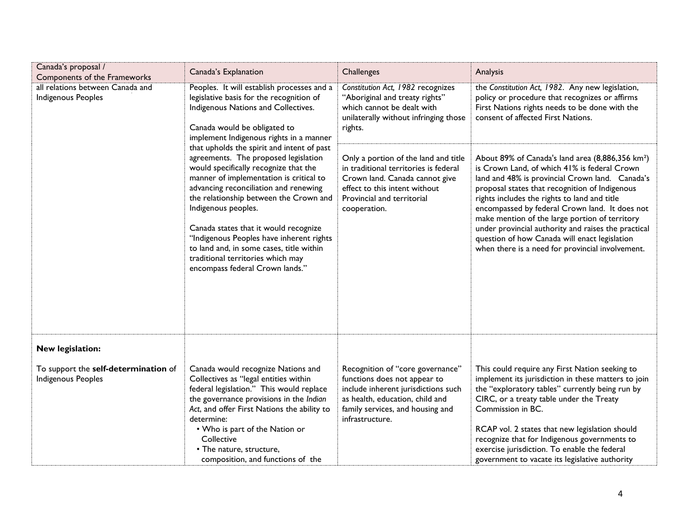| Canada's proposal /<br>Components of the Frameworks        | Canada's Explanation                                                                                                                                                                                                                                                                                                                                                                                                                                                                                                                                                                                                                                                                                  | Challenges                                                                                                                                                                                        | Analysis                                                                                                                                                                                                                                                                                                                                                                                                                                                                                                                          |
|------------------------------------------------------------|-------------------------------------------------------------------------------------------------------------------------------------------------------------------------------------------------------------------------------------------------------------------------------------------------------------------------------------------------------------------------------------------------------------------------------------------------------------------------------------------------------------------------------------------------------------------------------------------------------------------------------------------------------------------------------------------------------|---------------------------------------------------------------------------------------------------------------------------------------------------------------------------------------------------|-----------------------------------------------------------------------------------------------------------------------------------------------------------------------------------------------------------------------------------------------------------------------------------------------------------------------------------------------------------------------------------------------------------------------------------------------------------------------------------------------------------------------------------|
| all relations between Canada and<br>Indigenous Peoples     | Peoples. It will establish processes and a<br>legislative basis for the recognition of<br>Indigenous Nations and Collectives.<br>Canada would be obligated to<br>implement Indigenous rights in a manner<br>that upholds the spirit and intent of past<br>agreements. The proposed legislation<br>would specifically recognize that the<br>manner of implementation is critical to<br>advancing reconciliation and renewing<br>the relationship between the Crown and<br>Indigenous peoples.<br>Canada states that it would recognize<br>"Indigenous Peoples have inherent rights<br>to land and, in some cases, title within<br>traditional territories which may<br>encompass federal Crown lands." | Constitution Act, 1982 recognizes<br>"Aboriginal and treaty rights"<br>which cannot be dealt with<br>unilaterally without infringing those<br>rights.                                             | the Constitution Act, 1982. Any new legislation,<br>policy or procedure that recognizes or affirms<br>First Nations rights needs to be done with the<br>consent of affected First Nations.                                                                                                                                                                                                                                                                                                                                        |
|                                                            |                                                                                                                                                                                                                                                                                                                                                                                                                                                                                                                                                                                                                                                                                                       | Only a portion of the land and title<br>in traditional territories is federal<br>Crown land. Canada cannot give<br>effect to this intent without<br>Provincial and territorial<br>cooperation.    | About 89% of Canada's land area (8,886,356 km <sup>2</sup> )<br>is Crown Land, of which 41% is federal Crown<br>land and 48% is provincial Crown land. Canada's<br>proposal states that recognition of Indigenous<br>rights includes the rights to land and title<br>encompassed by federal Crown land. It does not<br>make mention of the large portion of territory<br>under provincial authority and raises the practical<br>question of how Canada will enact legislation<br>when there is a need for provincial involvement. |
| New legislation:                                           |                                                                                                                                                                                                                                                                                                                                                                                                                                                                                                                                                                                                                                                                                                       |                                                                                                                                                                                                   |                                                                                                                                                                                                                                                                                                                                                                                                                                                                                                                                   |
| To support the self-determination of<br>Indigenous Peoples | Canada would recognize Nations and<br>Collectives as "legal entities within<br>federal legislation." This would replace<br>the governance provisions in the Indian<br>Act, and offer First Nations the ability to<br>determine:<br>• Who is part of the Nation or<br>Collective<br>• The nature, structure,<br>composition, and functions of the                                                                                                                                                                                                                                                                                                                                                      | Recognition of "core governance"<br>functions does not appear to<br>include inherent jurisdictions such<br>as health, education, child and<br>family services, and housing and<br>infrastructure. | This could require any First Nation seeking to<br>implement its jurisdiction in these matters to join<br>the "exploratory tables" currently being run by<br>CIRC, or a treaty table under the Treaty<br>Commission in BC.<br>RCAP vol. 2 states that new legislation should<br>recognize that for Indigenous governments to<br>exercise jurisdiction. To enable the federal<br>government to vacate its legislative authority                                                                                                     |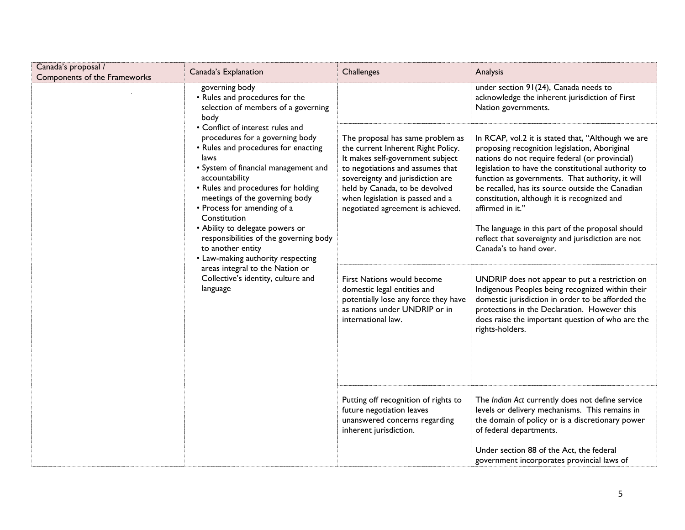| Canada's proposal /<br>Components of the Frameworks                                                                                                                                   | Canada's Explanation                                                                                                                                                                                                                                                                                                                                                                                                                      | Challenges                                                                                                                                                                                                                                                                                    | Analysis                                                                                                                                                                                                                                                                                                                                                                                                                                    |
|---------------------------------------------------------------------------------------------------------------------------------------------------------------------------------------|-------------------------------------------------------------------------------------------------------------------------------------------------------------------------------------------------------------------------------------------------------------------------------------------------------------------------------------------------------------------------------------------------------------------------------------------|-----------------------------------------------------------------------------------------------------------------------------------------------------------------------------------------------------------------------------------------------------------------------------------------------|---------------------------------------------------------------------------------------------------------------------------------------------------------------------------------------------------------------------------------------------------------------------------------------------------------------------------------------------------------------------------------------------------------------------------------------------|
|                                                                                                                                                                                       | governing body<br>• Rules and procedures for the<br>selection of members of a governing<br>body<br>• Conflict of interest rules and<br>procedures for a governing body<br>• Rules and procedures for enacting<br>laws<br>• System of financial management and<br>accountability<br>• Rules and procedures for holding<br>meetings of the governing body<br>• Process for amending of a<br>Constitution<br>• Ability to delegate powers or |                                                                                                                                                                                                                                                                                               | under section 91(24), Canada needs to<br>acknowledge the inherent jurisdiction of First<br>Nation governments.                                                                                                                                                                                                                                                                                                                              |
|                                                                                                                                                                                       |                                                                                                                                                                                                                                                                                                                                                                                                                                           | The proposal has same problem as<br>the current Inherent Right Policy.<br>It makes self-government subject<br>to negotiations and assumes that<br>sovereignty and jurisdiction are<br>held by Canada, to be devolved<br>when legislation is passed and a<br>negotiated agreement is achieved. | In RCAP, vol.2 it is stated that, "Although we are<br>proposing recognition legislation, Aboriginal<br>nations do not require federal (or provincial)<br>legislation to have the constitutional authority to<br>function as governments. That authority, it will<br>be recalled, has its source outside the Canadian<br>constitution, although it is recognized and<br>affirmed in it."<br>The language in this part of the proposal should |
| responsibilities of the governing body<br>to another entity<br>• Law-making authority respecting<br>areas integral to the Nation or<br>Collective's identity, culture and<br>language |                                                                                                                                                                                                                                                                                                                                                                                                                                           | reflect that sovereignty and jurisdiction are not<br>Canada's to hand over.                                                                                                                                                                                                                   |                                                                                                                                                                                                                                                                                                                                                                                                                                             |
|                                                                                                                                                                                       | First Nations would become<br>domestic legal entities and<br>potentially lose any force they have<br>as nations under UNDRIP or in<br>international law.                                                                                                                                                                                                                                                                                  | UNDRIP does not appear to put a restriction on<br>Indigenous Peoples being recognized within their<br>domestic jurisdiction in order to be afforded the<br>protections in the Declaration. However this<br>does raise the important question of who are the<br>rights-holders.                |                                                                                                                                                                                                                                                                                                                                                                                                                                             |
|                                                                                                                                                                                       | Putting off recognition of rights to<br>future negotiation leaves<br>unanswered concerns regarding<br>inherent jurisdiction.                                                                                                                                                                                                                                                                                                              | The Indian Act currently does not define service<br>levels or delivery mechanisms. This remains in<br>the domain of policy or is a discretionary power<br>of federal departments.                                                                                                             |                                                                                                                                                                                                                                                                                                                                                                                                                                             |
|                                                                                                                                                                                       |                                                                                                                                                                                                                                                                                                                                                                                                                                           |                                                                                                                                                                                                                                                                                               | Under section 88 of the Act, the federal<br>government incorporates provincial laws of                                                                                                                                                                                                                                                                                                                                                      |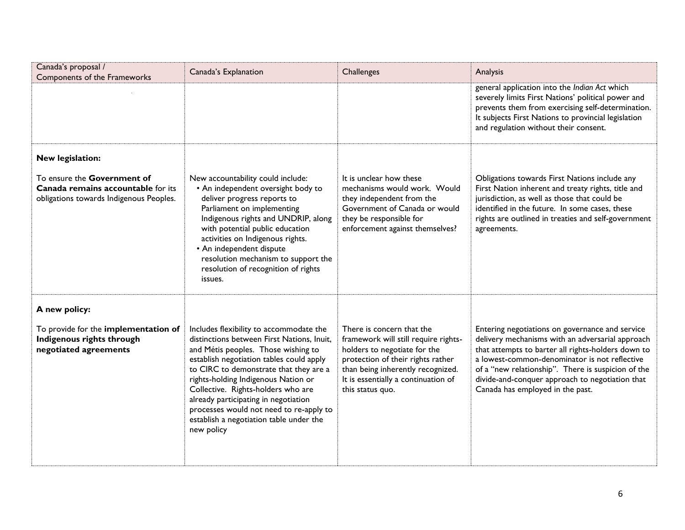| Canada's proposal /<br>Components of the Frameworks                                                          | Canada's Explanation                                                                                                                                                                                                                                                                                                                                                                                                                        | Challenges                                                                                                                                                                                                                             | Analysis                                                                                                                                                                                                                                                                                                                                                |
|--------------------------------------------------------------------------------------------------------------|---------------------------------------------------------------------------------------------------------------------------------------------------------------------------------------------------------------------------------------------------------------------------------------------------------------------------------------------------------------------------------------------------------------------------------------------|----------------------------------------------------------------------------------------------------------------------------------------------------------------------------------------------------------------------------------------|---------------------------------------------------------------------------------------------------------------------------------------------------------------------------------------------------------------------------------------------------------------------------------------------------------------------------------------------------------|
|                                                                                                              |                                                                                                                                                                                                                                                                                                                                                                                                                                             |                                                                                                                                                                                                                                        | general application into the Indian Act which<br>severely limits First Nations' political power and<br>prevents them from exercising self-determination.<br>It subjects First Nations to provincial legislation<br>and regulation without their consent.                                                                                                |
| New legislation:                                                                                             |                                                                                                                                                                                                                                                                                                                                                                                                                                             |                                                                                                                                                                                                                                        |                                                                                                                                                                                                                                                                                                                                                         |
| To ensure the Government of<br>Canada remains accountable for its<br>obligations towards Indigenous Peoples. | New accountability could include:<br>• An independent oversight body to<br>deliver progress reports to<br>Parliament on implementing<br>Indigenous rights and UNDRIP, along<br>with potential public education<br>activities on Indigenous rights.<br>• An independent dispute<br>resolution mechanism to support the<br>resolution of recognition of rights<br>issues.                                                                     | It is unclear how these<br>mechanisms would work. Would<br>they independent from the<br>Government of Canada or would<br>they be responsible for<br>enforcement against themselves?                                                    | Obligations towards First Nations include any<br>First Nation inherent and treaty rights, title and<br>jurisdiction, as well as those that could be<br>identified in the future. In some cases, these<br>rights are outlined in treaties and self-government<br>agreements.                                                                             |
| A new policy:                                                                                                |                                                                                                                                                                                                                                                                                                                                                                                                                                             |                                                                                                                                                                                                                                        |                                                                                                                                                                                                                                                                                                                                                         |
| To provide for the implementation of<br>Indigenous rights through<br>negotiated agreements                   | Includes flexibility to accommodate the<br>distinctions between First Nations, Inuit,<br>and Métis peoples. Those wishing to<br>establish negotiation tables could apply<br>to CIRC to demonstrate that they are a<br>rights-holding Indigenous Nation or<br>Collective. Rights-holders who are<br>already participating in negotiation<br>processes would not need to re-apply to<br>establish a negotiation table under the<br>new policy | There is concern that the<br>framework will still require rights-<br>holders to negotiate for the<br>protection of their rights rather<br>than being inherently recognized.<br>It is essentially a continuation of<br>this status quo. | Entering negotiations on governance and service<br>delivery mechanisms with an adversarial approach<br>that attempts to barter all rights-holders down to<br>a lowest-common-denominator is not reflective<br>of a "new relationship". There is suspicion of the<br>divide-and-conquer approach to negotiation that<br>Canada has employed in the past. |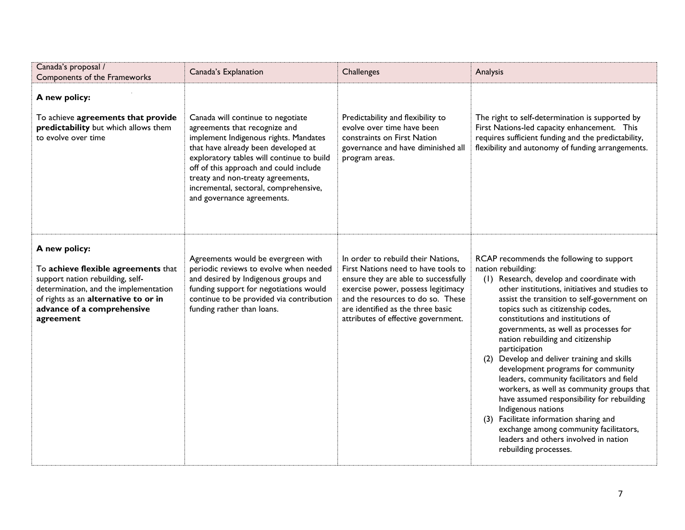| Canada's proposal /<br>Components of the Frameworks                                                                                                                                                                  | Canada's Explanation                                                                                                                                                                                                                                                                                                                                  | Challenges                                                                                                                                                                                                                                                               | Analysis                                                                                                                                                                                                                                                                                                                                                                                                                                                                                                                                                                                                                                                                                                                                                                                          |
|----------------------------------------------------------------------------------------------------------------------------------------------------------------------------------------------------------------------|-------------------------------------------------------------------------------------------------------------------------------------------------------------------------------------------------------------------------------------------------------------------------------------------------------------------------------------------------------|--------------------------------------------------------------------------------------------------------------------------------------------------------------------------------------------------------------------------------------------------------------------------|---------------------------------------------------------------------------------------------------------------------------------------------------------------------------------------------------------------------------------------------------------------------------------------------------------------------------------------------------------------------------------------------------------------------------------------------------------------------------------------------------------------------------------------------------------------------------------------------------------------------------------------------------------------------------------------------------------------------------------------------------------------------------------------------------|
| A new policy:<br>To achieve agreements that provide<br>predictability but which allows them<br>to evolve over time                                                                                                   | Canada will continue to negotiate<br>agreements that recognize and<br>implement Indigenous rights. Mandates<br>that have already been developed at<br>exploratory tables will continue to build<br>off of this approach and could include<br>treaty and non-treaty agreements,<br>incremental, sectoral, comprehensive,<br>and governance agreements. | Predictability and flexibility to<br>evolve over time have been<br>constraints on First Nation<br>governance and have diminished all<br>program areas.                                                                                                                   | The right to self-determination is supported by<br>First Nations-led capacity enhancement. This<br>requires sufficient funding and the predictability,<br>flexibility and autonomy of funding arrangements.                                                                                                                                                                                                                                                                                                                                                                                                                                                                                                                                                                                       |
| A new policy:<br>To achieve flexible agreements that<br>support nation rebuilding, self-<br>determination, and the implementation<br>of rights as an alternative to or in<br>advance of a comprehensive<br>agreement | Agreements would be evergreen with<br>periodic reviews to evolve when needed<br>and desired by Indigenous groups and<br>funding support for negotiations would<br>continue to be provided via contribution<br>funding rather than loans.                                                                                                              | In order to rebuild their Nations,<br>First Nations need to have tools to<br>ensure they are able to successfully<br>exercise power, possess legitimacy<br>and the resources to do so. These<br>are identified as the three basic<br>attributes of effective government. | RCAP recommends the following to support<br>nation rebuilding:<br>(1) Research, develop and coordinate with<br>other institutions, initiatives and studies to<br>assist the transition to self-government on<br>topics such as citizenship codes,<br>constitutions and institutions of<br>governments, as well as processes for<br>nation rebuilding and citizenship<br>participation<br>Develop and deliver training and skills<br>(2)<br>development programs for community<br>leaders, community facilitators and field<br>workers, as well as community groups that<br>have assumed responsibility for rebuilding<br>Indigenous nations<br>(3) Facilitate information sharing and<br>exchange among community facilitators,<br>leaders and others involved in nation<br>rebuilding processes. |